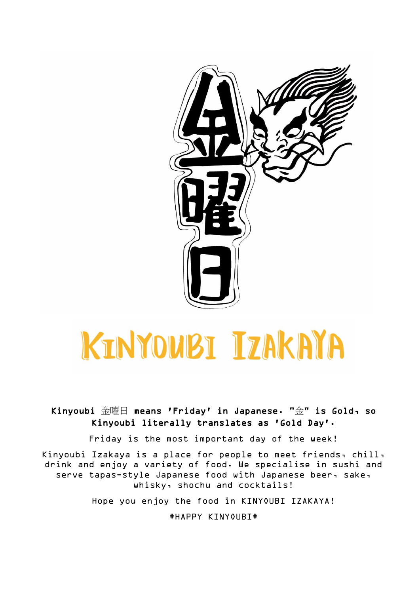

# KINYOWBI IZAKAYA

Kinyoubi 金曜日 means 'Friday' in Japanese. "金" is Gold, so Kinyoubi literally translates as 'Gold Day'.

Friday is the most important day of the week!

Kinyoubi Izakaya is a place for people to meet friends, chill, drink and enjoy a variety of food. We specialise in sushi and serve tapas-style Japanese food with Japanese beer, sake, whisky, shochu and cocktails!

Hope you enjoy the food in KINYOUBI IZAKAYA!

#HAPPY KINYOUBI#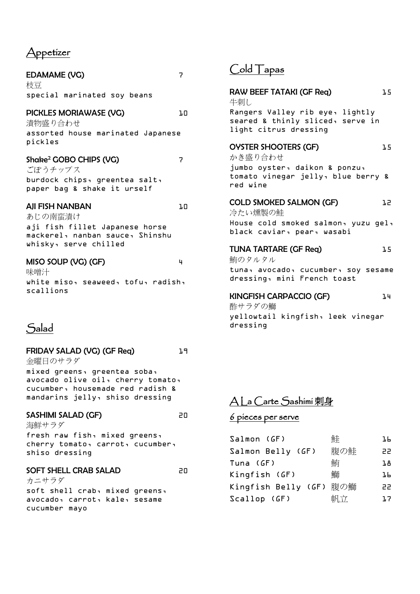# Appetizer

| <b>EDAMAME (VG)</b>                                                                                                             | $\overline{\phantom{a}}$ | l pio 1<br>apas                                                                                                                                 |
|---------------------------------------------------------------------------------------------------------------------------------|--------------------------|-------------------------------------------------------------------------------------------------------------------------------------------------|
| 枝豆<br>special marinated soy beans                                                                                               |                          | RAW BEEF TATAKI (GF Req)<br>牛刺し                                                                                                                 |
| PICKLES MORIAWASE (VG)<br>漬物盛り合わせ<br>assorted house marinated Japanese                                                          | ιū                       | Rangers Valley rib eye, lig<br>seared & thinly sliced, ser<br>light citrus dressing                                                             |
| pickles<br>Shake <sup>2</sup> GOBO CHIPS (VG)<br>ごぼうチップス<br>burdock chips, greentea salt,<br>paper bag & shake it urself        | $\overline{7}$           | <b>OYSTER SHOOTERS (GF)</b><br>かき盛り合わせ<br>jumbo oyster, daikon & ponz<br>tomato vinegar jelly, blue<br>red wine                                 |
| <b>AJI FISH NANBAN</b><br>あじの南蛮漬け<br>aji fish fillet Japanese horse<br>mackerel, nanban sauce, Shinshu<br>whisky, serve chilled | J.O                      | <b>COLD SMOKED SALMON (GF)</b><br>冷たい燻製の鮭<br>House cold smoked salmon, y<br>black caviar, pear, wasabi<br><b>TUNA TARTARE (GF Req)</b>          |
| MISO SOUP (VG) (GF)<br>味噌汁<br>white miso, seaweed, tofu, radish,<br>scallions                                                   | 4                        | 鮪のタルタル<br>tuna, avocado, cucumber, so<br>dressing, mini French toast<br><b>KINGFISH CARPACCIO (GF)</b><br>酢サラダの鰤<br>yellowtail kingfish, leek v |

# Salad

FRIDAY SALAD (VG) (GF Req) 19 金曜日のサラダ

mixed greens, greentea soba, avocado olive oil, cherry tomato, cucumber, housemade red radish & mandarins jelly, shiso dressing

#### SASHIMI SALAD (GF) 20

海鮮サラダ fresh raw fish, mixed greens, cherry tomato, carrot, cucumber, shiso dressing

#### SOFT SHELL CRAB SALAD 20

カニサラダ soft shell crab, mixed greens, avocado, carrot, kale, sesame cucumber mayo

# $C$ <sup>old T</sup>apas

| RAW BEEF TATAKI (GF Req)<br>牛刺し                                                              | 1.5 |  |  |
|----------------------------------------------------------------------------------------------|-----|--|--|
| Rangers Valley rib eye, lightly<br>seared & thinly sliced, serve in<br>light citrus dressing |     |  |  |
| <b>OYSTER SHOOTERS (GF)</b><br>かき盛り合わせ                                                       | 1.5 |  |  |
| jumbo oyster, daikon & ponzu,<br>tomato vinegar jelly, blue berry &<br>red wine              |     |  |  |
| <b>COLD SMOKED SALMON (GF)</b><br>冷たい燻製の鮭                                                    | 75  |  |  |
| House cold smoked salmon, yuzu gel,<br>black caviar, pear, wasabi                            |     |  |  |
| <b>TUNA TARTARE (GF Req)</b><br>鮪のタルタル                                                       | 1.5 |  |  |
| tuna, avocado, cucumber, soy sesame<br>dressing, mini French toast                           |     |  |  |
| <b>KINGFISH CARPACCIO (GF)</b><br>酢サラダの鰤                                                     | 14  |  |  |
| yellowtail kingfish, leek vinegar<br>dressing                                                |     |  |  |

# A La Carte Sashimi 刺身

# 6 pieces per serve

| Salmon (GF)             | 鮭   | ЪH. |
|-------------------------|-----|-----|
| Salmon Belly (GF)       | 腹の鮭 | 22  |
| Tuna (GF)               | 鮪   | ıв  |
| Kingfish (GF)           | 鰤   | ЪH. |
| Kingfish Belly (GF) 腹の鰤 |     | 22  |
| Scallop(GF)             |     | 17  |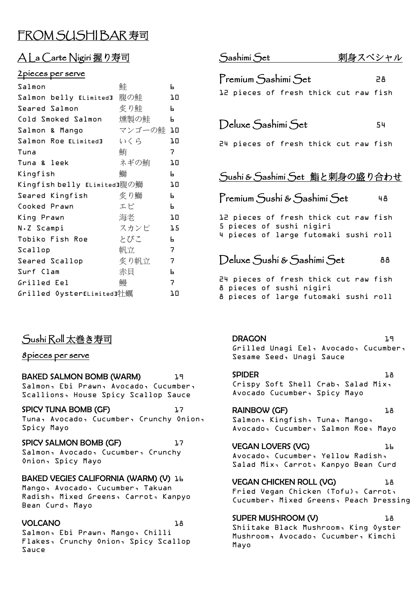# FROM SUSHIBAR 寿司

# A La Carte Nigiri 握り寿司

#### 2pieces per serve

| Salmon                      | 鮭         | Ь  |
|-----------------------------|-----------|----|
| Salmon belly ELimited]      | 腹の鮭       | ΤO |
| Seared Salmon               | 炙り鮭       | Ы  |
| Cold Smoked Salmon          | 燻製の鮭      | Ы  |
| Salmon & Mango              | マンゴーの鮭 10 |    |
| Salmon Roe ELimited]        | いくら       | ΤO |
| Tuna                        | 鮪         | 7. |
| Tuna & leek                 | ネギの鮪      | JО |
| Kingfish                    | 鰤         | Ы  |
| Kingfish belly 『Limited』腹の鰤 |           | ΤO |
| Seared Kingfish             | 炙り鰤       | Ы  |
| Cooked Prawn                | エビ        | Ь. |
| King Prawn                  | 海老        | ΤO |
| N.Z Scampi                  | スカンピ      | 15 |
| Tobiko Fish Roe             | とびこ       | Ь  |
| Scallop                     | 帆立        | 7  |
| Seared Scallop              | 炙り帆立      | 7  |
| Surf Clam                   | 赤貝        | Ь  |
| Grilled Eel                 | 鰻         | 7  |
| Grilled OysterLLimited]牡蠣   |           | ŀΟ |

# Sushi Roll 太巻き寿司

#### 8pieces per serve

BAKED SALMON BOMB (WARM) 19 Salmon, Ebi Prawn, Avocado, Cucumber, Scallions, House Spicy Scallop Sauce

SPICY TUNA BOMB (GF) 17 Tuna, Avocado, Cucumber, Crunchy Onion, Spicy Mayo

SPICY SALMON BOMB (GF) 17 Salmon, Avocado, Cucumber, Crunchy Onion, Spicy Mayo

#### BAKED VEGIES CALIFORNIA (WARM) (V) 16

Mango, Avocado, Cucumber, Takuan Radish, Mixed Greens, Carrot, Kanpyo Bean Curd, Mayo

#### VOLCANO 1.8

Salmon, Ebi Prawn, Mango, Chilli Flakes, Crunchy Onion, Spicy Scallop Sauce

| Sashimi Set                                                         | 刺身スペシャル |  |  |
|---------------------------------------------------------------------|---------|--|--|
| Premium Sashimi Set<br>12 pieces of fresh thick cut raw fish        | 28.     |  |  |
| Deluxe Sashimi Set<br>24 pieces of fresh thick cut raw fish         | 54      |  |  |
| Sushi & Sashimi Set 鮨と刺身の盛り合わせ<br>Premíum Sushí & Sashímí Set<br>48 |         |  |  |

12 pieces of fresh thick cut raw fish 5 pieces of sushi nigiri 4 pieces of large futomaki sushi roll

Deluxe Sushi & Sashimi Set 88

24 pieces of fresh thick cut raw fish 8 pieces of sushi nigiri 8 pieces of large futomaki sushi roll

DRAGON 19 Grilled Unagi Eel, Avocado, Cucumber, Sesame Seed, Unagi Sauce

#### SPIDER 18 Crispy Soft Shell Crab, Salad Mix, Avocado Cucumber, Spicy Mayo

RAINBOW (GF) 18 Salmon, Kingfish, Tuna, Mango, Avocado, Cucumber, Salmon Roe, Mayo

VEGAN LOVERS (VG) **16** Avocado, Cucumber, Yellow Radish, Salad Mix, Carrot, Kanpyo Bean Curd

VEGAN CHICKEN ROLL (VG) **18** Fried Vegan Chicken (Tofu), Carrot, Cucumber, Mixed Greens, Peach Dressing

SUPER MUSHROOM (V) Shiitake Black Mushroom, King Oyster Mushroom, Avocado, Cucumber, Kimchi Mayo